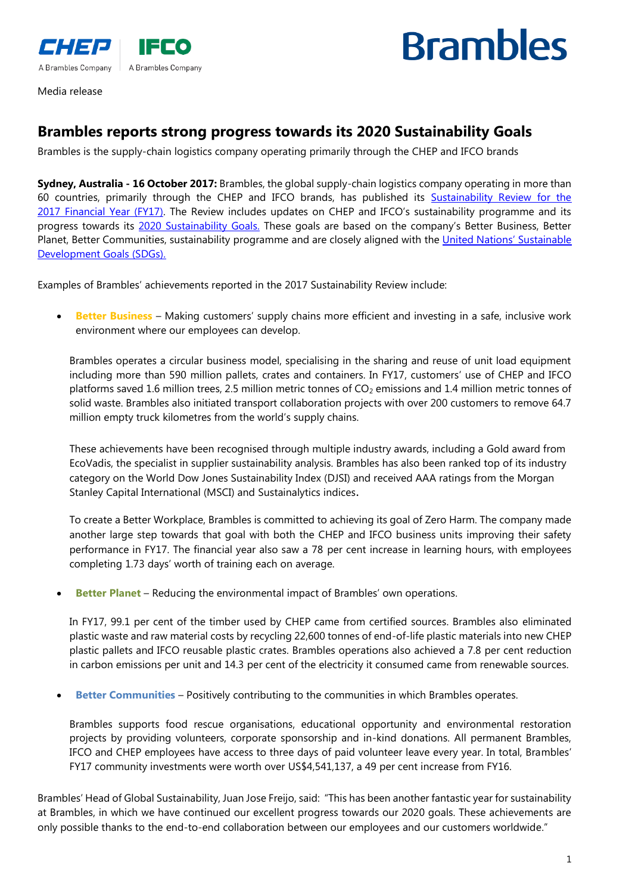



Media release

## **Brambles reports strong progress towards its 2020 Sustainability Goals**

Brambles is the supply-chain logistics company operating primarily through the CHEP and IFCO brands

**Sydney, Australia - 16 October 2017:** Brambles, the global supply-chain logistics company operating in more than 60 countries, primarily through the CHEP and IFCO brands, has published its Sustainability Review for the 2017 [Financial Year \(FY17\)](http://www.brambles.com/Content/cms/sustainability-2017/BRL209_S21_Sustainability_Report_FULL_WEB.pdf). The Review includes updates on CHEP and IFCO's sustainability programme and its progress towards its [2020 Sustainability Goals.](http://www.brambles.com/interactive-infographic/) These goals are based on the company's Better Business, Better Planet, Better Communities, sustainability programme and are closely aligned with the United Nations' Sustainable [Development Goals \(SDGs\).](https://sustainabledevelopment.un.org/?menu=1300)

Examples of Brambles' achievements reported in the 2017 Sustainability Review include:

 **Better Business** – Making customers' supply chains more efficient and investing in a safe, inclusive work environment where our employees can develop.

Brambles operates a circular business model, specialising in the sharing and reuse of unit load equipment including more than 590 million pallets, crates and containers. In FY17, customers' use of CHEP and IFCO platforms saved 1.6 million trees, 2.5 million metric tonnes of CO<sub>2</sub> emissions and 1.4 million metric tonnes of solid waste. Brambles also initiated transport collaboration projects with over 200 customers to remove 64.7 million empty truck kilometres from the world's supply chains.

These achievements have been recognised through multiple industry awards, including a [Gold award from](http://www.chep.com/resources/media_releases/20160127-CHEP_Europe_Awarded_EcoVadis_Gold_Recognition/)  [EcoVadis,](http://www.chep.com/resources/media_releases/20160127-CHEP_Europe_Awarded_EcoVadis_Gold_Recognition/) the specialist in supplier sustainability analysis. Brambles has also been ranked top of its industry category on the [World Dow Jones Sustainability Index](http://www.sustainability-indices.com/) (DJSI) and received AAA ratings from the Morgan Stanley Capital International (MSCI) and Sustainalytics indices.

To create a Better Workplace, Brambles is committed to achieving its goal of Zero Harm. The company made another large step towards that goal with both the CHEP and IFCO business units improving their safety performance in FY17. The financial year also saw a 78 per cent increase in learning hours, with employees completing 1.73 days' worth of training each on average.

**Better Planet** – Reducing the environmental impact of Brambles' own operations.

In FY17, 99.1 per cent of the timber used by CHEP came from certified sources. Brambles also eliminated plastic waste and raw material costs by recycling 22,600 tonnes of end-of-life plastic materials into new CHEP plastic pallets and IFCO reusable plastic crates. Brambles operations also achieved a 7.8 per cent reduction in carbon emissions per unit and 14.3 per cent of the electricity it consumed came from renewable sources.

**Better Communities** – Positively contributing to the communities in which Brambles operates.

Brambles supports food rescue organisations, educational opportunity and environmental restoration projects by providing volunteers, corporate sponsorship and in-kind donations. All permanent Brambles, IFCO and CHEP employees have access to three days of paid volunteer leave every year. In total, Brambles' FY17 community investments were worth over US\$4,541,137, a 49 per cent increase from FY16.

Brambles' Head of Global Sustainability, Juan Jose Freijo, said: "This has been another fantastic year for sustainability at Brambles, in which we have continued our excellent progress towards our 2020 goals. These achievements are only possible thanks to the end-to-end collaboration between our employees and our customers worldwide."